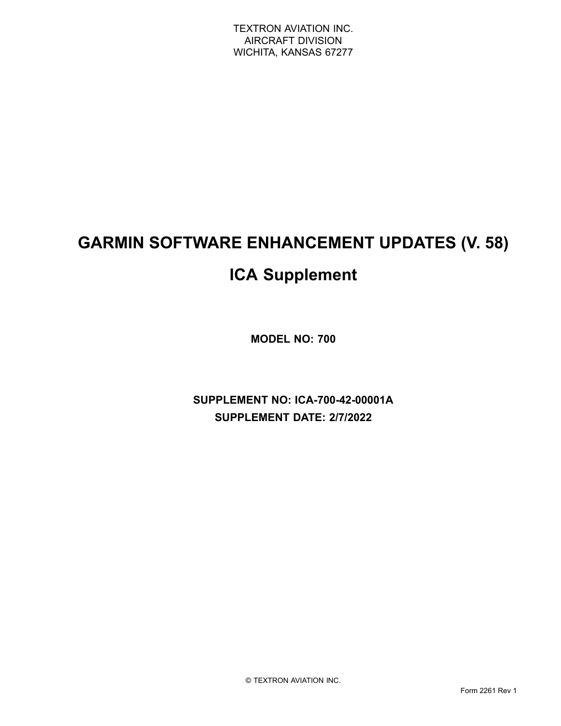# **GARMIN SOFTWARE ENHANCEMENT UPDATES (V. 58)**

# **ICA Supplement**

**MODEL NO: 700**

**SUPPLEMENT NO: ICA-700-42-00001A SUPPLEMENT DATE: 2/7/2022**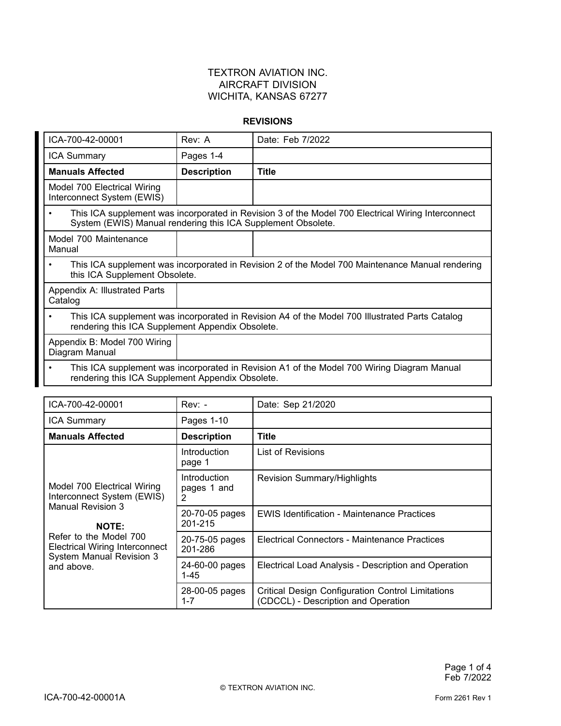#### **REVISIONS**

| ICA-700-42-00001                                                                                                                                                   | Rev: A             | Date: Feb 7/2022 |
|--------------------------------------------------------------------------------------------------------------------------------------------------------------------|--------------------|------------------|
| ICA Summary                                                                                                                                                        | Pages 1-4          |                  |
| <b>Manuals Affected</b>                                                                                                                                            | <b>Description</b> | <b>Title</b>     |
| Model 700 Electrical Wiring<br>Interconnect System (EWIS)                                                                                                          |                    |                  |
| This ICA supplement was incorporated in Revision 3 of the Model 700 Electrical Wiring Interconnect<br>System (EWIS) Manual rendering this ICA Supplement Obsolete. |                    |                  |
| Model 700 Maintenance<br>Manual                                                                                                                                    |                    |                  |
| This ICA supplement was incorporated in Revision 2 of the Model 700 Maintenance Manual rendering<br>this ICA Supplement Obsolete.                                  |                    |                  |
| Appendix A: Illustrated Parts<br>Catalog                                                                                                                           |                    |                  |
| This ICA supplement was incorporated in Revision A4 of the Model 700 Illustrated Parts Catalog<br>٠<br>rendering this ICA Supplement Appendix Obsolete.            |                    |                  |
| Appendix B: Model 700 Wiring<br>Diagram Manual                                                                                                                     |                    |                  |
| This ICA supplement was incorporated in Revision A1 of the Model 700 Wiring Diagram Manual<br>٠<br>rendering this ICA Supplement Appendix Obsolete.                |                    |                  |

| ICA-700-42-00001                                                                                                                                                                                                   | $Rev: -$                         | Date: Sep 21/2020                                                                               |
|--------------------------------------------------------------------------------------------------------------------------------------------------------------------------------------------------------------------|----------------------------------|-------------------------------------------------------------------------------------------------|
| ICA Summary                                                                                                                                                                                                        | Pages 1-10                       |                                                                                                 |
| <b>Manuals Affected</b>                                                                                                                                                                                            | <b>Description</b>               | <b>Title</b>                                                                                    |
| Model 700 Electrical Wiring<br>Interconnect System (EWIS)<br>Manual Revision 3<br><b>NOTE:</b><br>Refer to the Model 700<br><b>Electrical Wiring Interconnect</b><br><b>System Manual Revision 3</b><br>and above. | Introduction<br>page 1           | List of Revisions                                                                               |
|                                                                                                                                                                                                                    | Introduction<br>pages 1 and<br>2 | <b>Revision Summary/Highlights</b>                                                              |
|                                                                                                                                                                                                                    | 20-70-05 pages<br>201-215        | <b>EWIS Identification - Maintenance Practices</b>                                              |
|                                                                                                                                                                                                                    | 20-75-05 pages<br>201-286        | Electrical Connectors - Maintenance Practices                                                   |
|                                                                                                                                                                                                                    | 24-60-00 pages<br>$1 - 45$       | Electrical Load Analysis - Description and Operation                                            |
|                                                                                                                                                                                                                    | 28-00-05 pages<br>$1 - 7$        | <b>Critical Design Configuration Control Limitations</b><br>(CDCCL) - Description and Operation |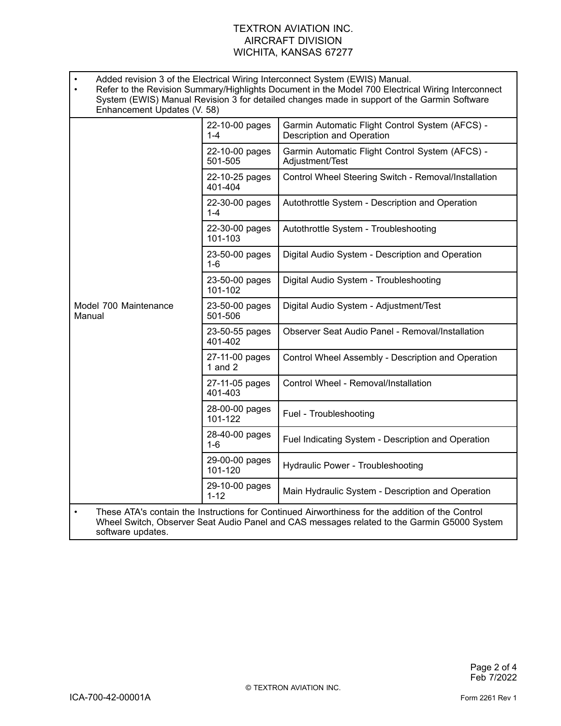| Added revision 3 of the Electrical Wiring Interconnect System (EWIS) Manual.<br>Refer to the Revision Summary/Highlights Document in the Model 700 Electrical Wiring Interconnect<br>System (EWIS) Manual Revision 3 for detailed changes made in support of the Garmin Software<br>Enhancement Updates (V. 58) |                             |                                                                              |  |
|-----------------------------------------------------------------------------------------------------------------------------------------------------------------------------------------------------------------------------------------------------------------------------------------------------------------|-----------------------------|------------------------------------------------------------------------------|--|
| Model 700 Maintenance<br>Manual                                                                                                                                                                                                                                                                                 | 22-10-00 pages<br>$1 - 4$   | Garmin Automatic Flight Control System (AFCS) -<br>Description and Operation |  |
|                                                                                                                                                                                                                                                                                                                 | 22-10-00 pages<br>501-505   | Garmin Automatic Flight Control System (AFCS) -<br>Adjustment/Test           |  |
|                                                                                                                                                                                                                                                                                                                 | 22-10-25 pages<br>401-404   | Control Wheel Steering Switch - Removal/Installation                         |  |
|                                                                                                                                                                                                                                                                                                                 | 22-30-00 pages<br>$1 - 4$   | Autothrottle System - Description and Operation                              |  |
|                                                                                                                                                                                                                                                                                                                 | 22-30-00 pages<br>101-103   | Autothrottle System - Troubleshooting                                        |  |
|                                                                                                                                                                                                                                                                                                                 | 23-50-00 pages<br>$1 - 6$   | Digital Audio System - Description and Operation                             |  |
|                                                                                                                                                                                                                                                                                                                 | 23-50-00 pages<br>101-102   | Digital Audio System - Troubleshooting                                       |  |
|                                                                                                                                                                                                                                                                                                                 | 23-50-00 pages<br>501-506   | Digital Audio System - Adjustment/Test                                       |  |
|                                                                                                                                                                                                                                                                                                                 | 23-50-55 pages<br>401-402   | Observer Seat Audio Panel - Removal/Installation                             |  |
|                                                                                                                                                                                                                                                                                                                 | 27-11-00 pages<br>1 and $2$ | Control Wheel Assembly - Description and Operation                           |  |
|                                                                                                                                                                                                                                                                                                                 | 27-11-05 pages<br>401-403   | Control Wheel - Removal/Installation                                         |  |
|                                                                                                                                                                                                                                                                                                                 | 28-00-00 pages<br>101-122   | Fuel - Troubleshooting                                                       |  |
|                                                                                                                                                                                                                                                                                                                 | 28-40-00 pages<br>$1 - 6$   | Fuel Indicating System - Description and Operation                           |  |
|                                                                                                                                                                                                                                                                                                                 | 29-00-00 pages<br>101-120   | <b>Hydraulic Power - Troubleshooting</b>                                     |  |
|                                                                                                                                                                                                                                                                                                                 | 29-10-00 pages<br>$1 - 12$  | Main Hydraulic System - Description and Operation                            |  |
| These ATA's contain the Instructions for Continued Airworthiness for the addition of the Control<br>$\bullet$<br>Wheel Switch, Observer Seat Audio Panel and CAS messages related to the Garmin G5000 System<br>software updates.                                                                               |                             |                                                                              |  |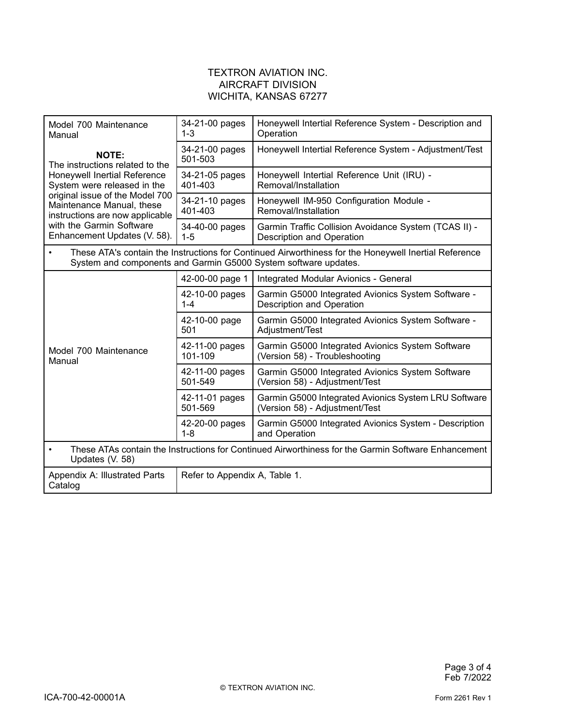| Model 700 Maintenance<br>Manual                                                                                                                                                                                                                                               | 34-21-00 pages<br>$1 - 3$     | Honeywell Intertial Reference System - Description and<br>Operation                       |
|-------------------------------------------------------------------------------------------------------------------------------------------------------------------------------------------------------------------------------------------------------------------------------|-------------------------------|-------------------------------------------------------------------------------------------|
| <b>NOTE:</b><br>The instructions related to the<br>Honeywell Inertial Reference<br>System were released in the<br>original issue of the Model 700<br>Maintenance Manual, these<br>instructions are now applicable<br>with the Garmin Software<br>Enhancement Updates (V. 58). | 34-21-00 pages<br>501-503     | Honeywell Intertial Reference System - Adjustment/Test                                    |
|                                                                                                                                                                                                                                                                               | 34-21-05 pages<br>401-403     | Honeywell Intertial Reference Unit (IRU) -<br>Removal/Installation                        |
|                                                                                                                                                                                                                                                                               | 34-21-10 pages<br>401-403     | Honeywell IM-950 Configuration Module -<br>Removal/Installation                           |
|                                                                                                                                                                                                                                                                               | 34-40-00 pages<br>$1 - 5$     | Garmin Traffic Collision Avoidance System (TCAS II) -<br><b>Description and Operation</b> |
| These ATA's contain the Instructions for Continued Airworthiness for the Honeywell Inertial Reference<br>System and components and Garmin G5000 System software updates.                                                                                                      |                               |                                                                                           |
|                                                                                                                                                                                                                                                                               | 42-00-00 page 1               | Integrated Modular Avionics - General                                                     |
| Model 700 Maintenance<br>Manual                                                                                                                                                                                                                                               | 42-10-00 pages<br>$1 - 4$     | Garmin G5000 Integrated Avionics System Software -<br>Description and Operation           |
|                                                                                                                                                                                                                                                                               | 42-10-00 page<br>501          | Garmin G5000 Integrated Avionics System Software -<br>Adjustment/Test                     |
|                                                                                                                                                                                                                                                                               | 42-11-00 pages<br>101-109     | Garmin G5000 Integrated Avionics System Software<br>(Version 58) - Troubleshooting        |
|                                                                                                                                                                                                                                                                               | 42-11-00 pages<br>501-549     | Garmin G5000 Integrated Avionics System Software<br>(Version 58) - Adjustment/Test        |
|                                                                                                                                                                                                                                                                               | 42-11-01 pages<br>501-569     | Garmin G5000 Integrated Avionics System LRU Software<br>(Version 58) - Adjustment/Test    |
|                                                                                                                                                                                                                                                                               | 42-20-00 pages<br>$1 - 8$     | Garmin G5000 Integrated Avionics System - Description<br>and Operation                    |
| These ATAs contain the Instructions for Continued Airworthiness for the Garmin Software Enhancement<br>Updates (V. 58)                                                                                                                                                        |                               |                                                                                           |
| Appendix A: Illustrated Parts<br>Catalog                                                                                                                                                                                                                                      | Refer to Appendix A, Table 1. |                                                                                           |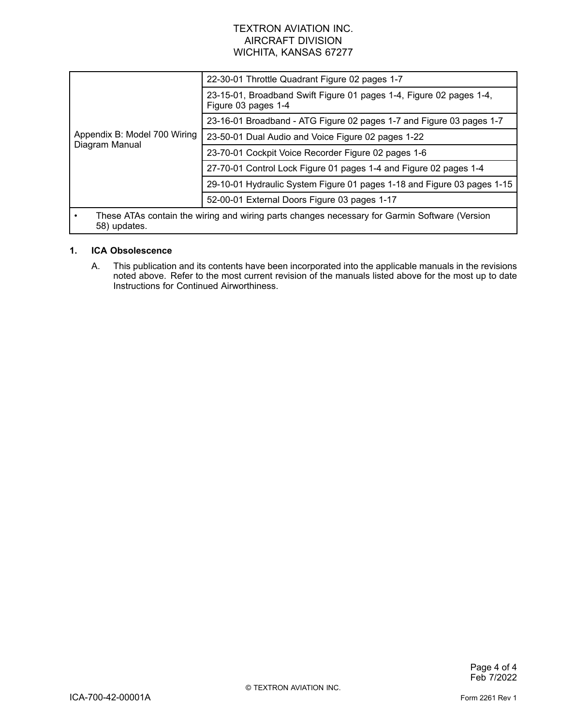| Appendix B: Model 700 Wiring<br>Diagram Manual                                                                | 22-30-01 Throttle Quadrant Figure 02 pages 1-7                                             |  |
|---------------------------------------------------------------------------------------------------------------|--------------------------------------------------------------------------------------------|--|
|                                                                                                               | 23-15-01, Broadband Swift Figure 01 pages 1-4, Figure 02 pages 1-4,<br>Figure 03 pages 1-4 |  |
|                                                                                                               | 23-16-01 Broadband - ATG Figure 02 pages 1-7 and Figure 03 pages 1-7                       |  |
|                                                                                                               | 23-50-01 Dual Audio and Voice Figure 02 pages 1-22                                         |  |
|                                                                                                               | 23-70-01 Cockpit Voice Recorder Figure 02 pages 1-6                                        |  |
|                                                                                                               | 27-70-01 Control Lock Figure 01 pages 1-4 and Figure 02 pages 1-4                          |  |
|                                                                                                               | 29-10-01 Hydraulic System Figure 01 pages 1-18 and Figure 03 pages 1-15                    |  |
|                                                                                                               | 52-00-01 External Doors Figure 03 pages 1-17                                               |  |
| These ATAs contain the wiring and wiring parts changes necessary for Garmin Software (Version<br>58) updates. |                                                                                            |  |

# **1. ICA Obsolescence**

A. This publication and its contents have been incorporated into the applicable manuals in the revisions noted above. Refer to the most current revision of the manuals listed above for the most up to date Instructions for Continued Airworthiness.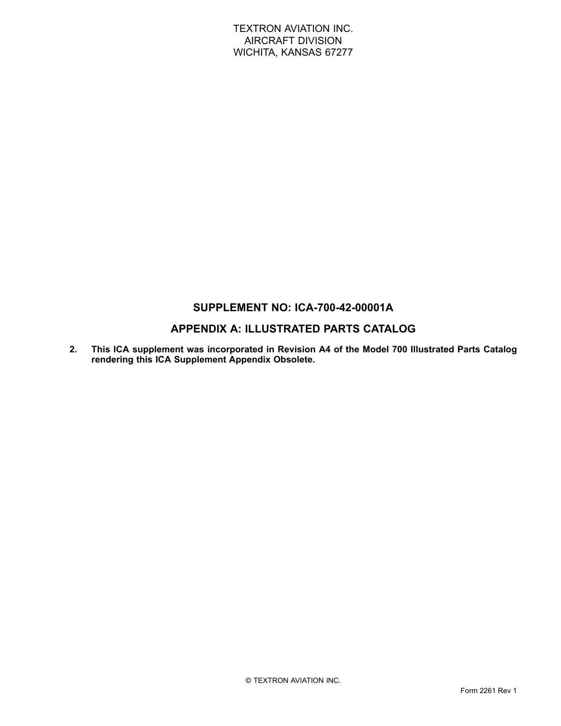# **SUPPLEMENT NO: ICA-700-42-00001A**

# **APPENDIX A: ILLUSTRATED PARTS CATALOG**

**2. This ICA supplement was incorporated in Revision A4 of the Model 700 Illustrated Parts Catalog rendering this ICA Supplement Appendix Obsolete.**